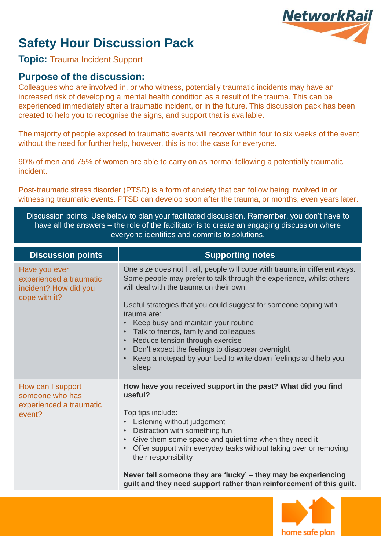## **Safety Hour Discussion Pack**

# **NetworkRail**

## **Topic:** Trauma Incident Support

## **Purpose of the discussion:**

Colleagues who are involved in, or who witness, potentially traumatic incidents may have an increased risk of developing a mental health condition as a result of the trauma. This can be experienced immediately after a traumatic incident, or in the future. This discussion pack has been created to help you to recognise the signs, and support that is available.

The majority of people exposed to traumatic events will recover within four to six weeks of the event without the need for further help, however, this is not the case for everyone.

90% of men and 75% of women are able to carry on as normal following a potentially traumatic incident.

Post-traumatic stress disorder (PTSD) is a form of anxiety that can follow being involved in or witnessing traumatic events. PTSD can develop soon after the trauma, or months, even years later.

Discussion points: Use below to plan your facilitated discussion. Remember, you don't have to have all the answers – the role of the facilitator is to create an engaging discussion where everyone identifies and commits to solutions.

| <b>Discussion points</b>                                                           | <b>Supporting notes</b>                                                                                                                                                                                                                                                                                                                                                                                                                                                                                                             |
|------------------------------------------------------------------------------------|-------------------------------------------------------------------------------------------------------------------------------------------------------------------------------------------------------------------------------------------------------------------------------------------------------------------------------------------------------------------------------------------------------------------------------------------------------------------------------------------------------------------------------------|
| Have you ever<br>experienced a traumatic<br>incident? How did you<br>cope with it? | One size does not fit all, people will cope with trauma in different ways.<br>Some people may prefer to talk through the experience, whilst others<br>will deal with the trauma on their own.<br>Useful strategies that you could suggest for someone coping with<br>trauma are:<br>Keep busy and maintain your routine<br>Talk to friends, family and colleagues<br>Reduce tension through exercise<br>Don't expect the feelings to disappear overnight<br>Keep a notepad by your bed to write down feelings and help you<br>sleep |
| How can I support<br>someone who has<br>experienced a traumatic<br>event?          | How have you received support in the past? What did you find<br>useful?<br>Top tips include:<br>Listening without judgement<br>Distraction with something fun<br>Give them some space and quiet time when they need it<br>$\bullet$<br>Offer support with everyday tasks without taking over or removing<br>$\bullet$<br>their responsibility<br>Never tell someone they are 'lucky' – they may be experiencing<br>guilt and they need support rather than reinforcement of this guilt.                                             |